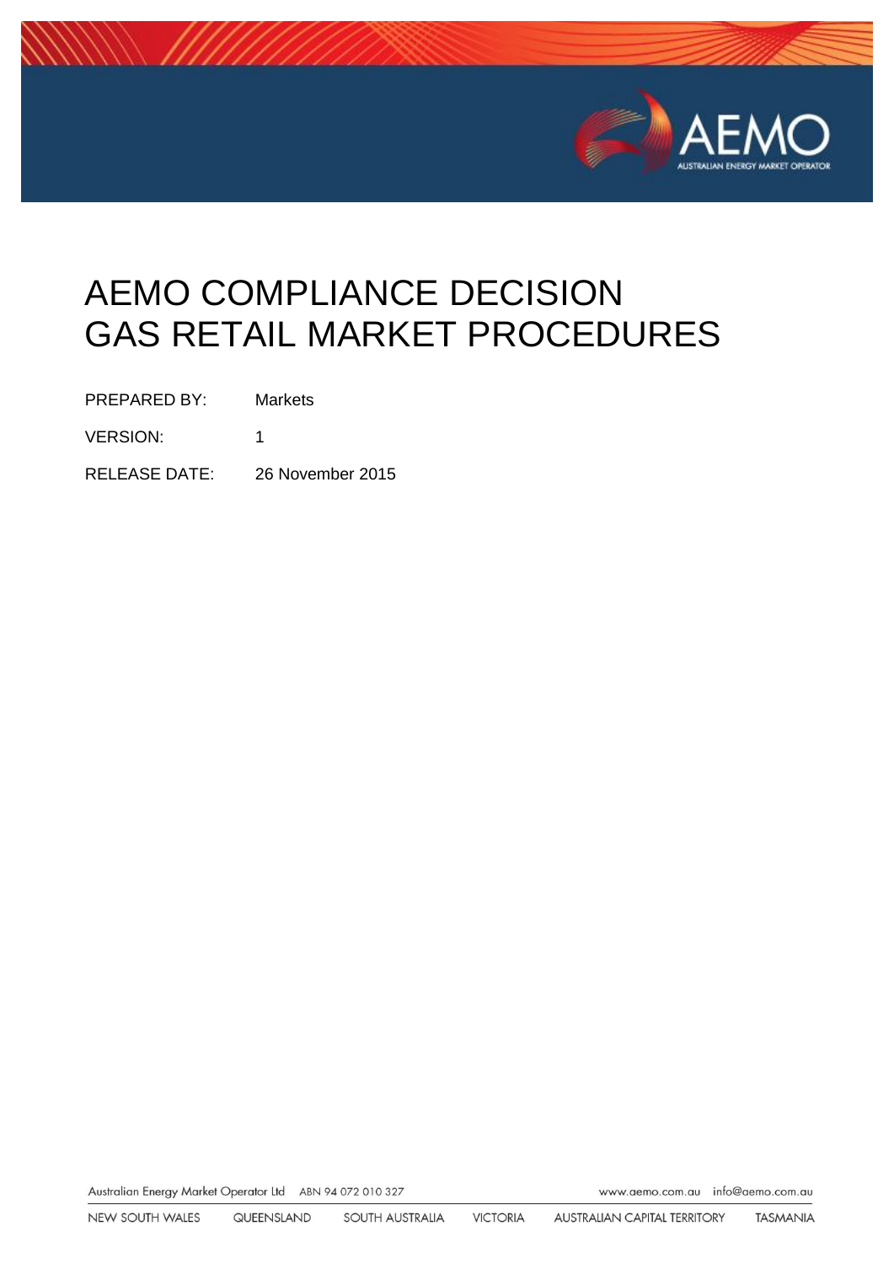

# AEMO COMPLIANCE DECISION GAS RETAIL MARKET PROCEDURES

PREPARED BY: Markets

VERSION: 1

RELEASE DATE: 26 November 2015

Australian Energy Market Operator Ltd ABN 94 072 010 327

www.aemo.com.au info@aemo.com.au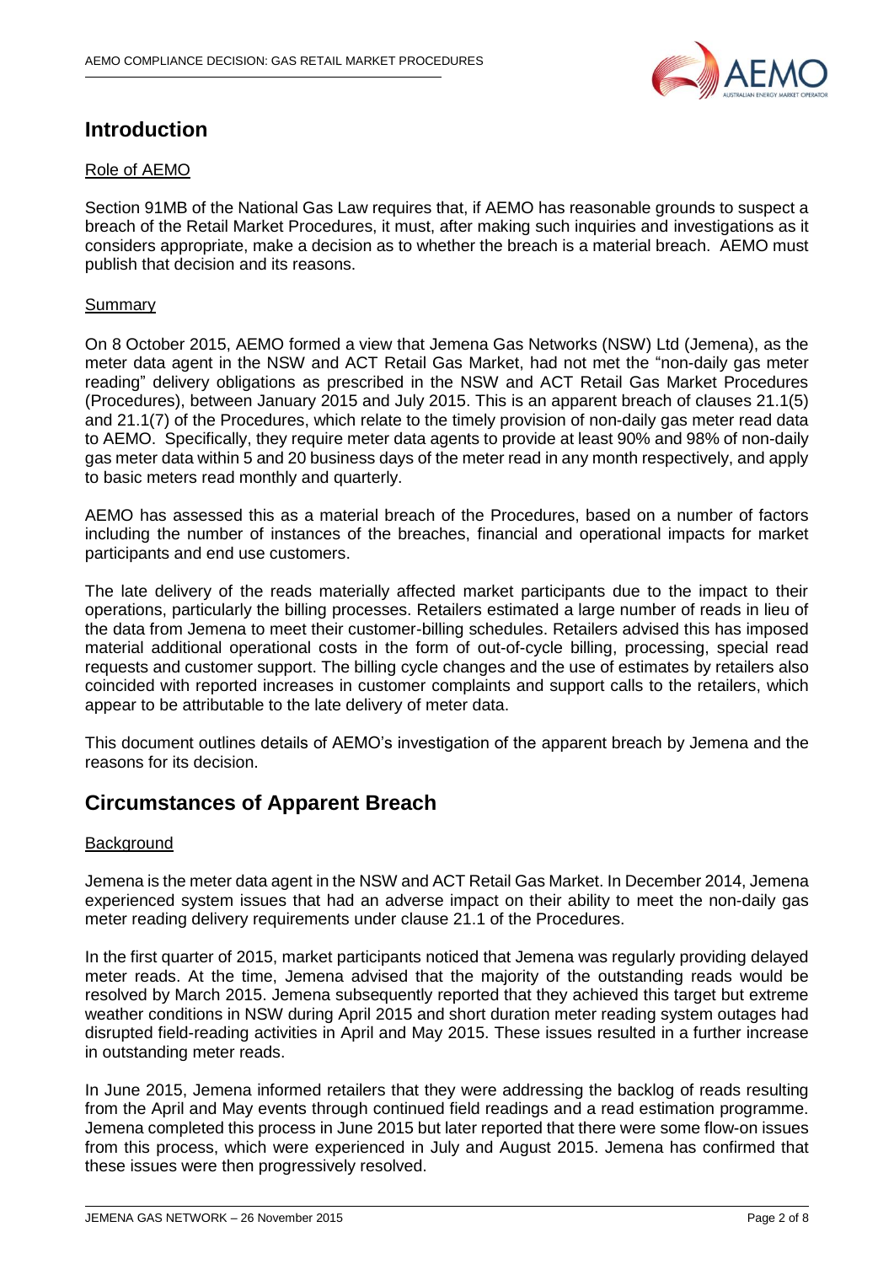

# **Introduction**

# Role of AEMO

Section 91MB of the National Gas Law requires that, if AEMO has reasonable grounds to suspect a breach of the Retail Market Procedures, it must, after making such inquiries and investigations as it considers appropriate, make a decision as to whether the breach is a material breach. AEMO must publish that decision and its reasons.

## Summary

On 8 October 2015, AEMO formed a view that Jemena Gas Networks (NSW) Ltd (Jemena), as the meter data agent in the NSW and ACT Retail Gas Market, had not met the "non-daily gas meter reading" delivery obligations as prescribed in the NSW and ACT Retail Gas Market Procedures (Procedures), between January 2015 and July 2015. This is an apparent breach of clauses 21.1(5) and 21.1(7) of the Procedures, which relate to the timely provision of non-daily gas meter read data to AEMO. Specifically, they require meter data agents to provide at least 90% and 98% of non-daily gas meter data within 5 and 20 business days of the meter read in any month respectively, and apply to basic meters read monthly and quarterly.

AEMO has assessed this as a material breach of the Procedures, based on a number of factors including the number of instances of the breaches, financial and operational impacts for market participants and end use customers.

The late delivery of the reads materially affected market participants due to the impact to their operations, particularly the billing processes. Retailers estimated a large number of reads in lieu of the data from Jemena to meet their customer-billing schedules. Retailers advised this has imposed material additional operational costs in the form of out-of-cycle billing, processing, special read requests and customer support. The billing cycle changes and the use of estimates by retailers also coincided with reported increases in customer complaints and support calls to the retailers, which appear to be attributable to the late delivery of meter data.

This document outlines details of AEMO's investigation of the apparent breach by Jemena and the reasons for its decision.

# **Circumstances of Apparent Breach**

## **Background**

Jemena is the meter data agent in the NSW and ACT Retail Gas Market. In December 2014, Jemena experienced system issues that had an adverse impact on their ability to meet the non-daily gas meter reading delivery requirements under clause 21.1 of the Procedures.

In the first quarter of 2015, market participants noticed that Jemena was regularly providing delayed meter reads. At the time, Jemena advised that the majority of the outstanding reads would be resolved by March 2015. Jemena subsequently reported that they achieved this target but extreme weather conditions in NSW during April 2015 and short duration meter reading system outages had disrupted field-reading activities in April and May 2015. These issues resulted in a further increase in outstanding meter reads.

In June 2015, Jemena informed retailers that they were addressing the backlog of reads resulting from the April and May events through continued field readings and a read estimation programme. Jemena completed this process in June 2015 but later reported that there were some flow-on issues from this process, which were experienced in July and August 2015. Jemena has confirmed that these issues were then progressively resolved.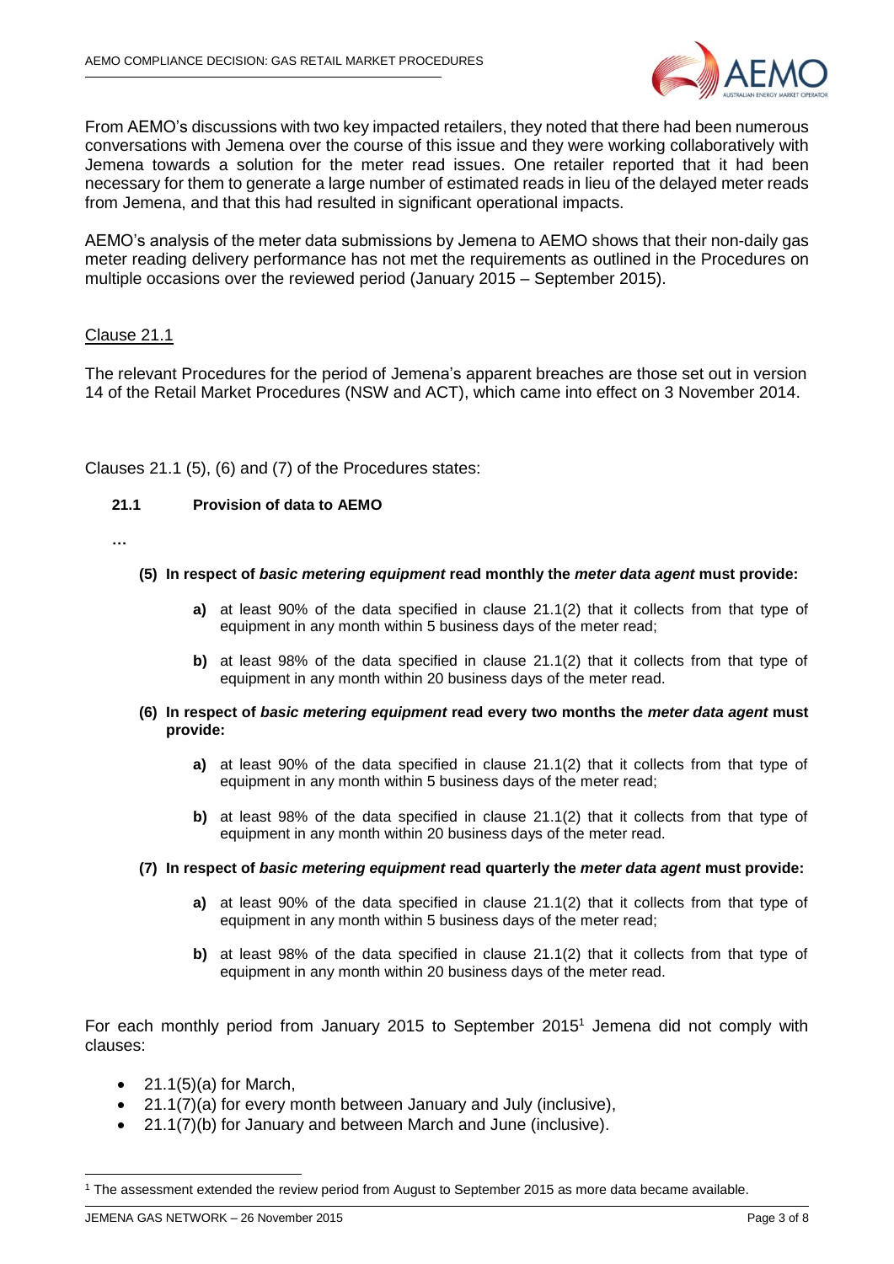

From AEMO's discussions with two key impacted retailers, they noted that there had been numerous conversations with Jemena over the course of this issue and they were working collaboratively with Jemena towards a solution for the meter read issues. One retailer reported that it had been necessary for them to generate a large number of estimated reads in lieu of the delayed meter reads from Jemena, and that this had resulted in significant operational impacts.

AEMO's analysis of the meter data submissions by Jemena to AEMO shows that their non-daily gas meter reading delivery performance has not met the requirements as outlined in the Procedures on multiple occasions over the reviewed period (January 2015 – September 2015).

#### Clause 21.1

The relevant Procedures for the period of Jemena's apparent breaches are those set out in version 14 of the Retail Market Procedures (NSW and ACT), which came into effect on 3 November 2014.

Clauses 21.1 (5), (6) and (7) of the Procedures states:

#### **21.1 Provision of data to AEMO**

**…**

#### **(5) In respect of** *basic metering equipment* **read monthly the** *meter data agent* **must provide:**

- **a)** at least 90% of the data specified in clause 21.1(2) that it collects from that type of equipment in any month within 5 business days of the meter read;
- **b)** at least 98% of the data specified in clause 21.1(2) that it collects from that type of equipment in any month within 20 business days of the meter read.
- **(6) In respect of** *basic metering equipment* **read every two months the** *meter data agent* **must provide:**
	- **a)** at least 90% of the data specified in clause 21.1(2) that it collects from that type of equipment in any month within 5 business days of the meter read;
	- **b)** at least 98% of the data specified in clause 21.1(2) that it collects from that type of equipment in any month within 20 business days of the meter read.
- **(7) In respect of** *basic metering equipment* **read quarterly the** *meter data agent* **must provide:**
	- **a)** at least 90% of the data specified in clause 21.1(2) that it collects from that type of equipment in any month within 5 business days of the meter read;
	- **b)** at least 98% of the data specified in clause 21.1(2) that it collects from that type of equipment in any month within 20 business days of the meter read.

For each monthly period from January 2015 to September 2015<sup>1</sup> Jemena did not comply with clauses:

- $\bullet$  21.1(5)(a) for March,
- 21.1(7)(a) for every month between January and July (inclusive),
- 21.1(7)(b) for January and between March and June (inclusive).

-

<sup>1</sup> The assessment extended the review period from August to September 2015 as more data became available.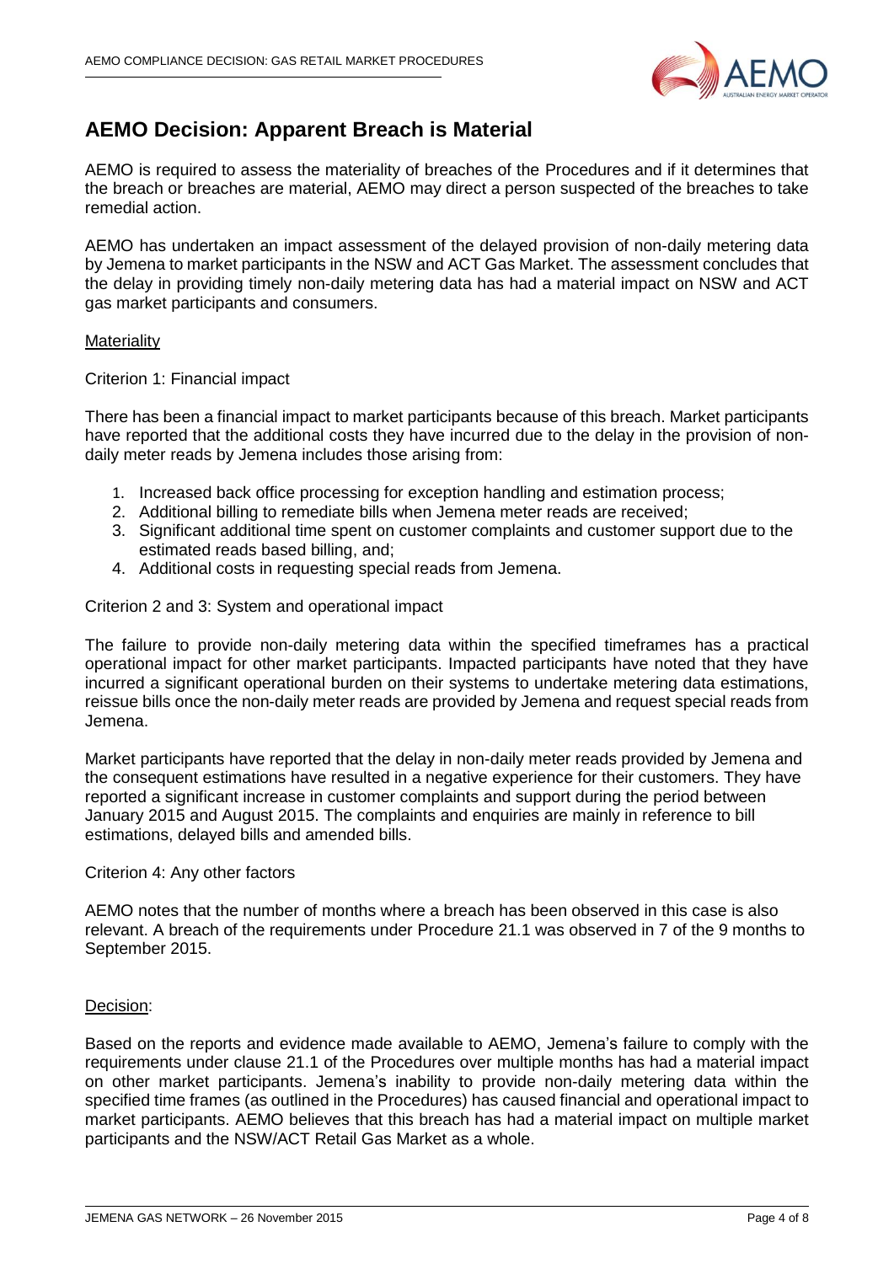

# **AEMO Decision: Apparent Breach is Material**

AEMO is required to assess the materiality of breaches of the Procedures and if it determines that the breach or breaches are material, AEMO may direct a person suspected of the breaches to take remedial action.

AEMO has undertaken an impact assessment of the delayed provision of non-daily metering data by Jemena to market participants in the NSW and ACT Gas Market. The assessment concludes that the delay in providing timely non-daily metering data has had a material impact on NSW and ACT gas market participants and consumers.

#### **Materiality**

#### Criterion 1: Financial impact

There has been a financial impact to market participants because of this breach. Market participants have reported that the additional costs they have incurred due to the delay in the provision of nondaily meter reads by Jemena includes those arising from:

- 1. Increased back office processing for exception handling and estimation process;
- 2. Additional billing to remediate bills when Jemena meter reads are received;
- 3. Significant additional time spent on customer complaints and customer support due to the estimated reads based billing, and;
- 4. Additional costs in requesting special reads from Jemena.

#### Criterion 2 and 3: System and operational impact

The failure to provide non-daily metering data within the specified timeframes has a practical operational impact for other market participants. Impacted participants have noted that they have incurred a significant operational burden on their systems to undertake metering data estimations, reissue bills once the non-daily meter reads are provided by Jemena and request special reads from Jemena.

Market participants have reported that the delay in non-daily meter reads provided by Jemena and the consequent estimations have resulted in a negative experience for their customers. They have reported a significant increase in customer complaints and support during the period between January 2015 and August 2015. The complaints and enquiries are mainly in reference to bill estimations, delayed bills and amended bills.

#### Criterion 4: Any other factors

AEMO notes that the number of months where a breach has been observed in this case is also relevant. A breach of the requirements under Procedure 21.1 was observed in 7 of the 9 months to September 2015.

## Decision:

Based on the reports and evidence made available to AEMO, Jemena's failure to comply with the requirements under clause 21.1 of the Procedures over multiple months has had a material impact on other market participants. Jemena's inability to provide non-daily metering data within the specified time frames (as outlined in the Procedures) has caused financial and operational impact to market participants. AEMO believes that this breach has had a material impact on multiple market participants and the NSW/ACT Retail Gas Market as a whole.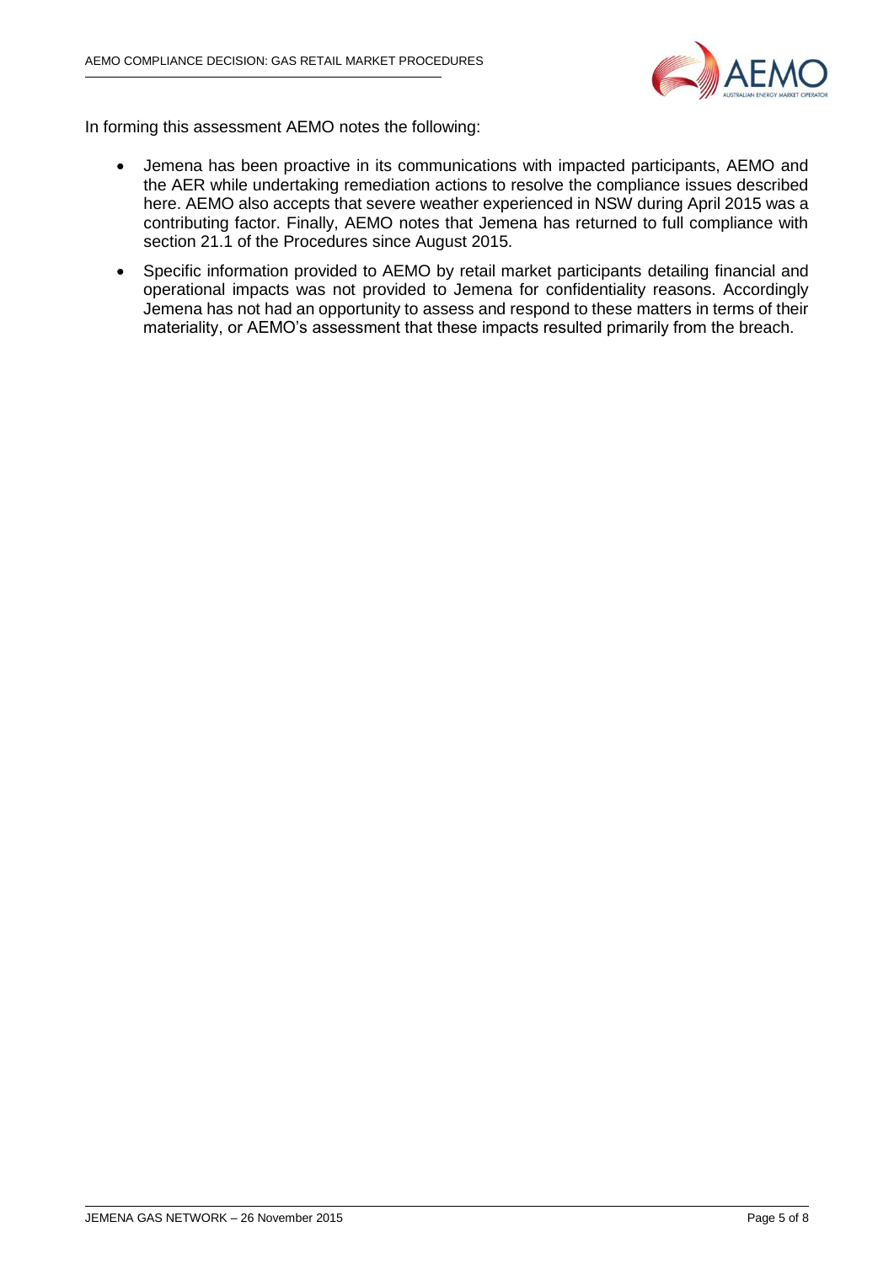

In forming this assessment AEMO notes the following:

- Jemena has been proactive in its communications with impacted participants, AEMO and the AER while undertaking remediation actions to resolve the compliance issues described here. AEMO also accepts that severe weather experienced in NSW during April 2015 was a contributing factor. Finally, AEMO notes that Jemena has returned to full compliance with section 21.1 of the Procedures since August 2015.
- Specific information provided to AEMO by retail market participants detailing financial and operational impacts was not provided to Jemena for confidentiality reasons. Accordingly Jemena has not had an opportunity to assess and respond to these matters in terms of their materiality, or AEMO's assessment that these impacts resulted primarily from the breach.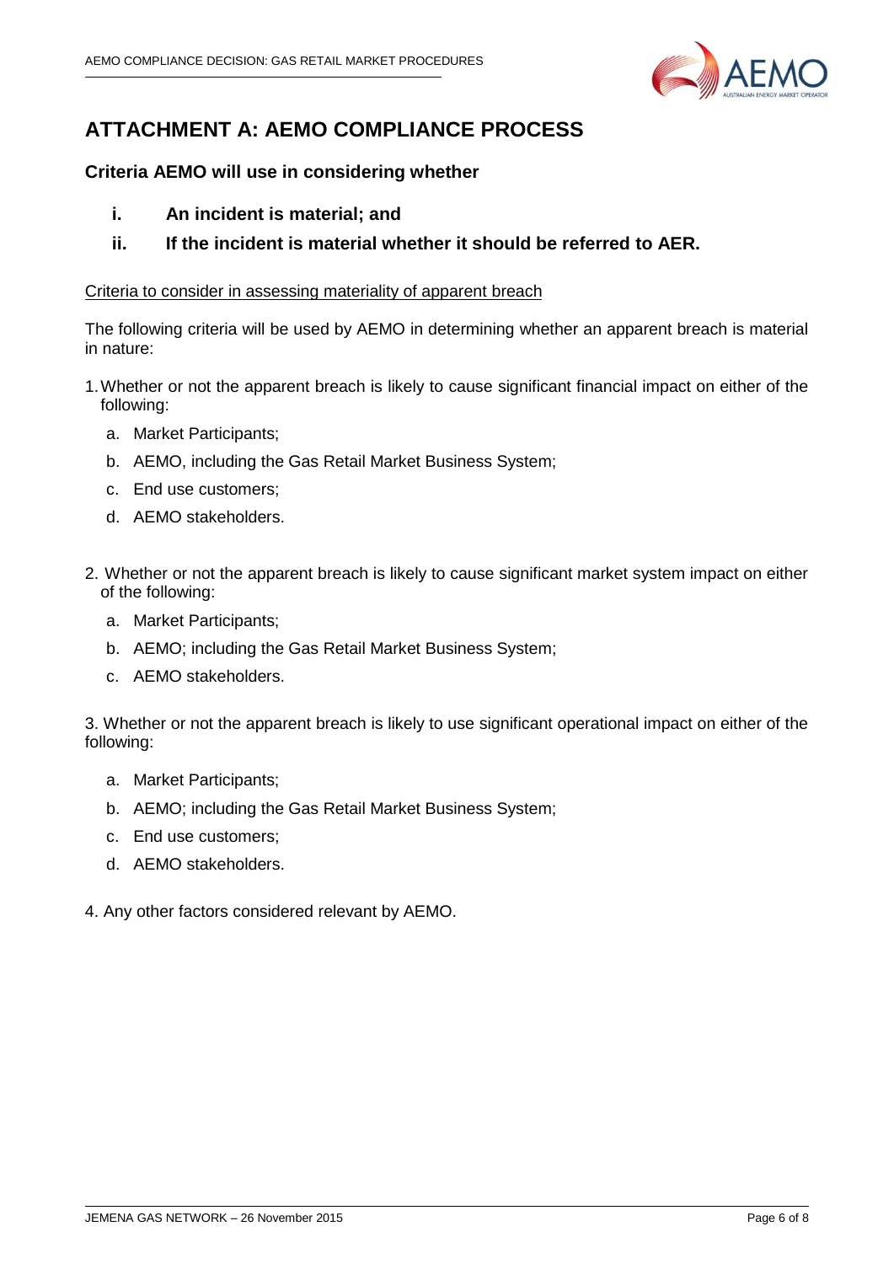

# **ATTACHMENT A: AEMO COMPLIANCE PROCESS**

# **Criteria AEMO will use in considering whether**

- **i. An incident is material; and**
- **ii. If the incident is material whether it should be referred to AER.**

## Criteria to consider in assessing materiality of apparent breach

The following criteria will be used by AEMO in determining whether an apparent breach is material in nature:

- 1.Whether or not the apparent breach is likely to cause significant financial impact on either of the following:
	- a. Market Participants;
	- b. AEMO, including the Gas Retail Market Business System;
	- c. End use customers;
	- d. AEMO stakeholders.
- 2. Whether or not the apparent breach is likely to cause significant market system impact on either of the following:
	- a. Market Participants;
	- b. AEMO; including the Gas Retail Market Business System;
	- c. AEMO stakeholders.

3. Whether or not the apparent breach is likely to use significant operational impact on either of the following:

- a. Market Participants;
- b. AEMO; including the Gas Retail Market Business System;
- c. End use customers;
- d. AEMO stakeholders.
- 4. Any other factors considered relevant by AEMO.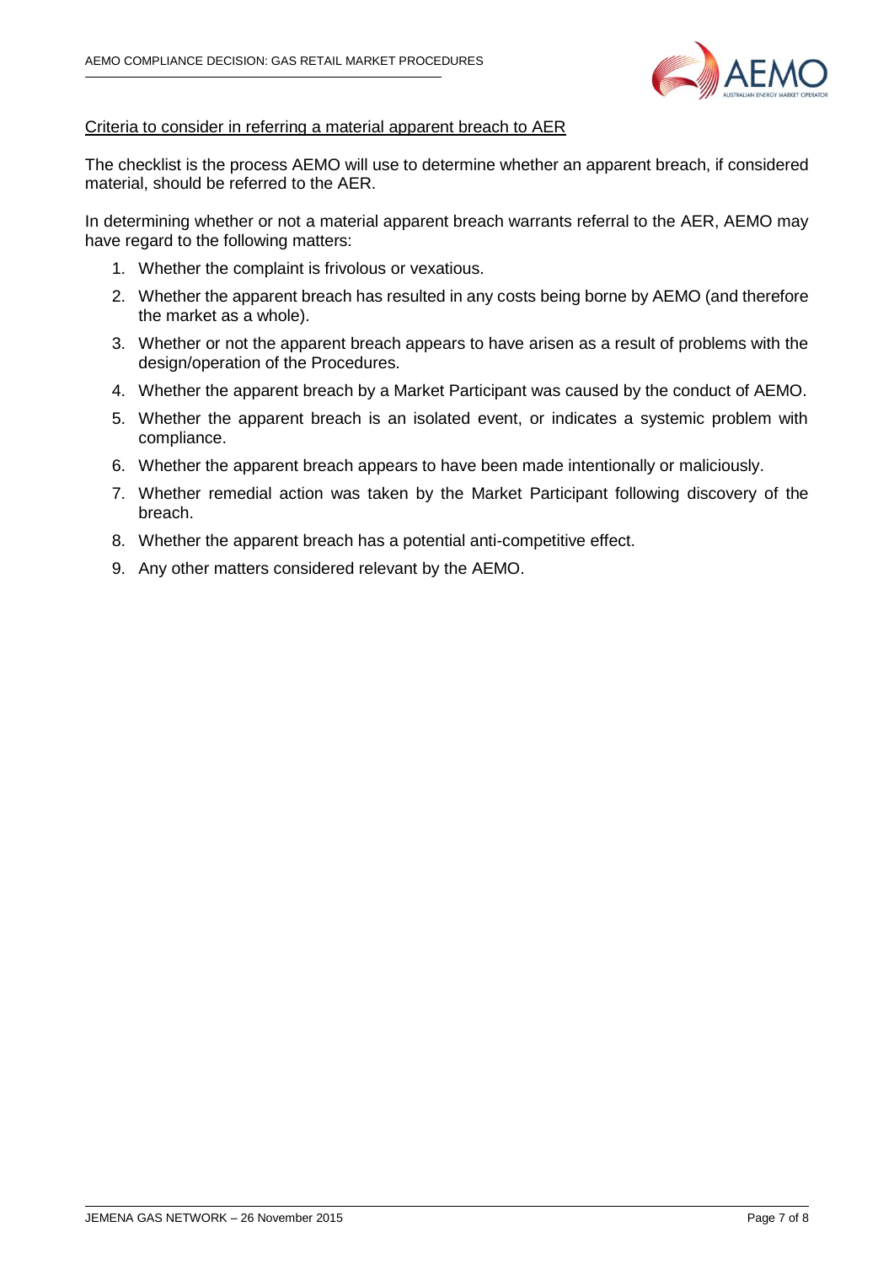

## Criteria to consider in referring a material apparent breach to AER

The checklist is the process AEMO will use to determine whether an apparent breach, if considered material, should be referred to the AER.

In determining whether or not a material apparent breach warrants referral to the AER, AEMO may have regard to the following matters:

- 1. Whether the complaint is frivolous or vexatious.
- 2. Whether the apparent breach has resulted in any costs being borne by AEMO (and therefore the market as a whole).
- 3. Whether or not the apparent breach appears to have arisen as a result of problems with the design/operation of the Procedures.
- 4. Whether the apparent breach by a Market Participant was caused by the conduct of AEMO.
- 5. Whether the apparent breach is an isolated event, or indicates a systemic problem with compliance.
- 6. Whether the apparent breach appears to have been made intentionally or maliciously.
- 7. Whether remedial action was taken by the Market Participant following discovery of the breach.
- 8. Whether the apparent breach has a potential anti-competitive effect.
- 9. Any other matters considered relevant by the AEMO.